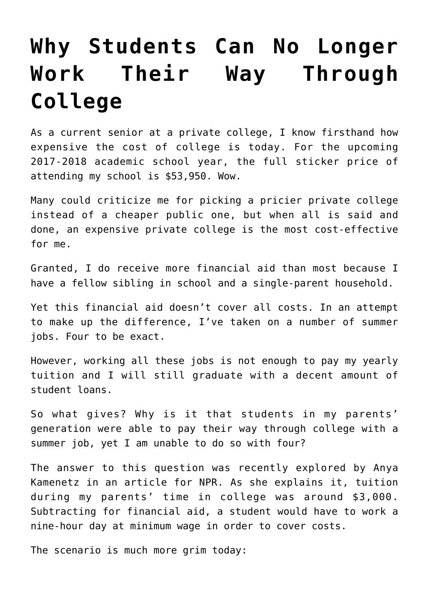## **[Why Students Can No Longer](https://intellectualtakeout.org/2017/07/why-students-can-no-longer-work-their-way-through-college/) [Work Their Way Through](https://intellectualtakeout.org/2017/07/why-students-can-no-longer-work-their-way-through-college/) [College](https://intellectualtakeout.org/2017/07/why-students-can-no-longer-work-their-way-through-college/)**

As a current senior at a private college, I know firsthand how expensive the cost of college is today. For the upcoming 2017-2018 academic school year, the full sticker price of attending my school is \$53,950. Wow.

Many could criticize me for picking a pricier private college instead of a cheaper public one, but when all is said and done, an expensive private college is the most cost-effective for me.

Granted, I do receive more financial aid than most because I have a fellow sibling in school and a single-parent household.

Yet this financial aid doesn't cover all costs. In an attempt to make up the difference, I've taken on a number of summer jobs. Four to be exact.

However, working all these jobs is not enough to pay my yearly tuition and I will still graduate with a decent amount of student loans.

So what gives? Why is it that students in my parents' generation were able to pay their way through college with a summer job, yet I am unable to do so with four?

The answer to this question was recently explored by Anya Kamenetz in an article for NPR. As she explains it, tuition during my parents' time in college was around \$3,000. Subtracting for financial aid, a student would have to work a nine-hour day at minimum wage in order to cover costs.

The scenario is much more grim today: